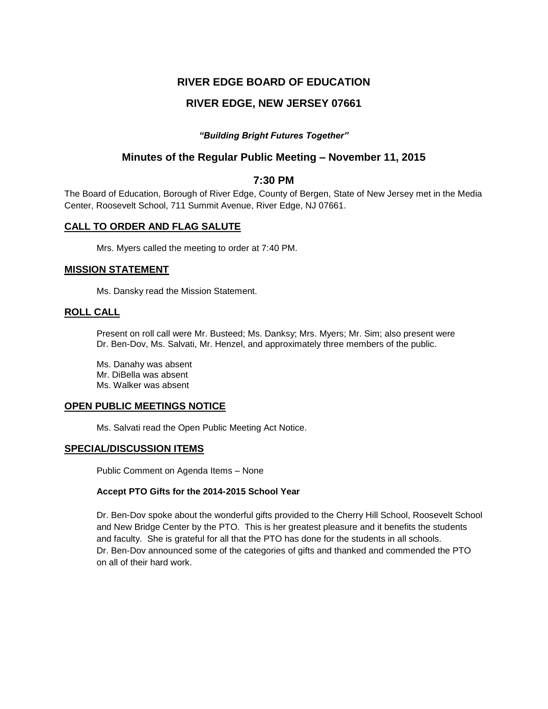# **RIVER EDGE BOARD OF EDUCATION**

# **RIVER EDGE, NEW JERSEY 07661**

## *"Building Bright Futures Together"*

## **Minutes of the Regular Public Meeting – November 11, 2015**

### **7:30 PM**

The Board of Education, Borough of River Edge, County of Bergen, State of New Jersey met in the Media Center, Roosevelt School, 711 Summit Avenue, River Edge, NJ 07661.

### **CALL TO ORDER AND FLAG SALUTE**

Mrs. Myers called the meeting to order at 7:40 PM.

### **MISSION STATEMENT**

Ms. Dansky read the Mission Statement.

### **ROLL CALL**

Present on roll call were Mr. Busteed; Ms. Danksy; Mrs. Myers; Mr. Sim; also present were Dr. Ben-Dov, Ms. Salvati, Mr. Henzel, and approximately three members of the public.

Ms. Danahy was absent Mr. DiBella was absent Ms. Walker was absent

### **OPEN PUBLIC MEETINGS NOTICE**

Ms. Salvati read the Open Public Meeting Act Notice.

### **SPECIAL/DISCUSSION ITEMS**

Public Comment on Agenda Items – None

## **Accept PTO Gifts for the 2014-2015 School Year**

Dr. Ben-Dov spoke about the wonderful gifts provided to the Cherry Hill School, Roosevelt School and New Bridge Center by the PTO. This is her greatest pleasure and it benefits the students and faculty. She is grateful for all that the PTO has done for the students in all schools. Dr. Ben-Dov announced some of the categories of gifts and thanked and commended the PTO on all of their hard work.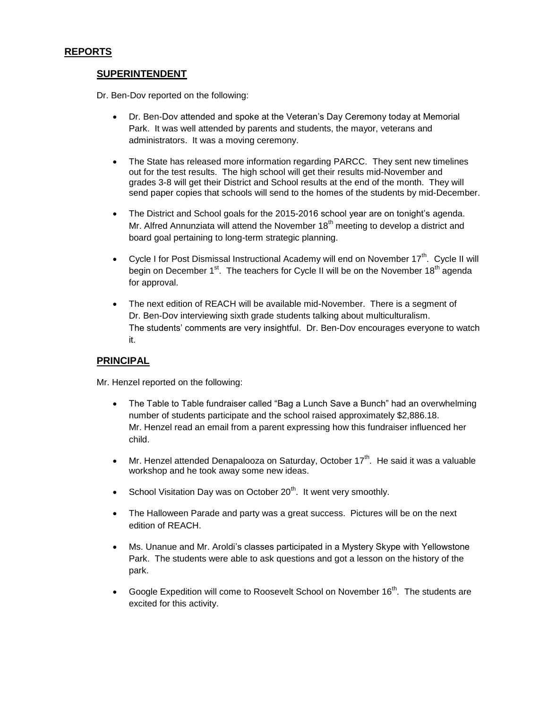## **SUPERINTENDENT**

Dr. Ben-Dov reported on the following:

- Dr. Ben-Dov attended and spoke at the Veteran's Day Ceremony today at Memorial Park. It was well attended by parents and students, the mayor, veterans and administrators. It was a moving ceremony.
- The State has released more information regarding PARCC. They sent new timelines out for the test results. The high school will get their results mid-November and grades 3-8 will get their District and School results at the end of the month. They will send paper copies that schools will send to the homes of the students by mid-December.
- The District and School goals for the 2015-2016 school year are on tonight's agenda. Mr. Alfred Annunziata will attend the November  $18<sup>th</sup>$  meeting to develop a district and board goal pertaining to long-term strategic planning.
- Cycle I for Post Dismissal Instructional Academy will end on November  $17^{th}$ . Cycle II will begin on December 1<sup>st</sup>. The teachers for Cycle II will be on the November 18<sup>th</sup> agenda for approval.
- The next edition of REACH will be available mid-November. There is a segment of Dr. Ben-Dov interviewing sixth grade students talking about multiculturalism. The students' comments are very insightful. Dr. Ben-Dov encourages everyone to watch it.

## **PRINCIPAL**

Mr. Henzel reported on the following:

- The Table to Table fundraiser called "Bag a Lunch Save a Bunch" had an overwhelming number of students participate and the school raised approximately \$2,886.18. Mr. Henzel read an email from a parent expressing how this fundraiser influenced her child.
- Mr. Henzel attended Denapalooza on Saturday, October  $17<sup>th</sup>$ . He said it was a valuable workshop and he took away some new ideas.
- School Visitation Day was on October 20<sup>th</sup>. It went very smoothly.
- The Halloween Parade and party was a great success. Pictures will be on the next edition of REACH.
- Ms. Unanue and Mr. Aroldi's classes participated in a Mystery Skype with Yellowstone Park. The students were able to ask questions and got a lesson on the history of the park.
- Google Expedition will come to Roosevelt School on November  $16<sup>th</sup>$ . The students are excited for this activity.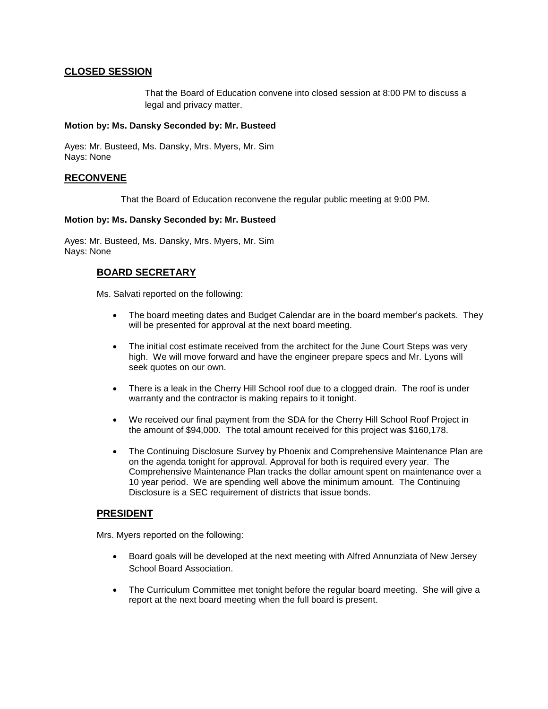## **CLOSED SESSION**

That the Board of Education convene into closed session at 8:00 PM to discuss a legal and privacy matter.

### **Motion by: Ms. Dansky Seconded by: Mr. Busteed**

Ayes: Mr. Busteed, Ms. Dansky, Mrs. Myers, Mr. Sim Nays: None

### **RECONVENE**

That the Board of Education reconvene the regular public meeting at 9:00 PM.

### **Motion by: Ms. Dansky Seconded by: Mr. Busteed**

Ayes: Mr. Busteed, Ms. Dansky, Mrs. Myers, Mr. Sim Nays: None

## **BOARD SECRETARY**

Ms. Salvati reported on the following:

- The board meeting dates and Budget Calendar are in the board member's packets. They will be presented for approval at the next board meeting.
- The initial cost estimate received from the architect for the June Court Steps was very high. We will move forward and have the engineer prepare specs and Mr. Lyons will seek quotes on our own.
- There is a leak in the Cherry Hill School roof due to a clogged drain. The roof is under warranty and the contractor is making repairs to it tonight.
- We received our final payment from the SDA for the Cherry Hill School Roof Project in the amount of \$94,000. The total amount received for this project was \$160,178.
- The Continuing Disclosure Survey by Phoenix and Comprehensive Maintenance Plan are on the agenda tonight for approval. Approval for both is required every year. The Comprehensive Maintenance Plan tracks the dollar amount spent on maintenance over a 10 year period. We are spending well above the minimum amount. The Continuing Disclosure is a SEC requirement of districts that issue bonds.

## **PRESIDENT**

Mrs. Myers reported on the following:

- Board goals will be developed at the next meeting with Alfred Annunziata of New Jersey School Board Association.
- The Curriculum Committee met tonight before the regular board meeting. She will give a report at the next board meeting when the full board is present.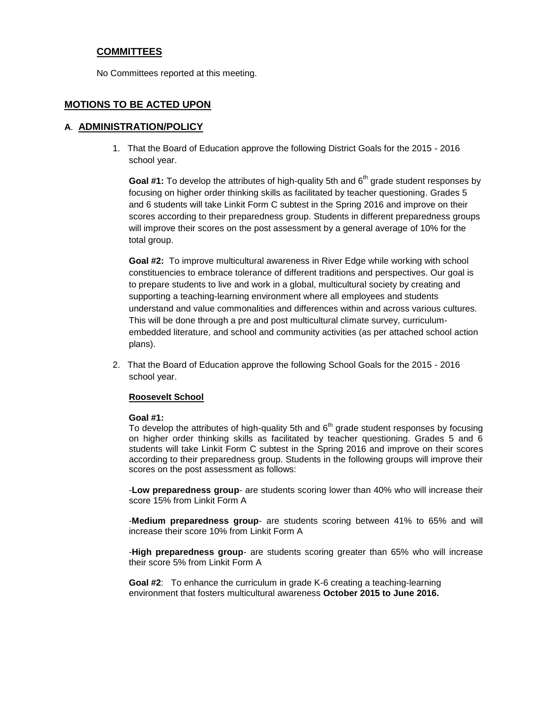## **COMMITTEES**

No Committees reported at this meeting.

## **MOTIONS TO BE ACTED UPON**

### **A**. **ADMINISTRATION/POLICY**

1. That the Board of Education approve the following District Goals for the 2015 - 2016 school year.

Goal #1: To develop the attributes of high-quality 5th and 6<sup>th</sup> grade student responses by focusing on higher order thinking skills as facilitated by teacher questioning. Grades 5 and 6 students will take Linkit Form C subtest in the Spring 2016 and improve on their scores according to their preparedness group. Students in different preparedness groups will improve their scores on the post assessment by a general average of 10% for the total group.

**Goal #2:** To improve multicultural awareness in River Edge while working with school constituencies to embrace tolerance of different traditions and perspectives. Our goal is to prepare students to live and work in a global, multicultural society by creating and supporting a teaching-learning environment where all employees and students understand and value commonalities and differences within and across various cultures. This will be done through a pre and post multicultural climate survey, curriculumembedded literature, and school and community activities (as per attached school action plans).

2. That the Board of Education approve the following School Goals for the 2015 - 2016 school year.

### **Roosevelt School**

### **Goal #1:**

To develop the attributes of high-quality 5th and  $6<sup>th</sup>$  grade student responses by focusing on higher order thinking skills as facilitated by teacher questioning. Grades 5 and 6 students will take Linkit Form C subtest in the Spring 2016 and improve on their scores according to their preparedness group. Students in the following groups will improve their scores on the post assessment as follows:

-**Low preparedness group**- are students scoring lower than 40% who will increase their score 15% from Linkit Form A

-**Medium preparedness group**- are students scoring between 41% to 65% and will increase their score 10% from Linkit Form A

-**High preparedness group**- are students scoring greater than 65% who will increase their score 5% from Linkit Form A

**Goal #2**: To enhance the curriculum in grade K-6 creating a teaching-learning environment that fosters multicultural awareness **October 2015 to June 2016.**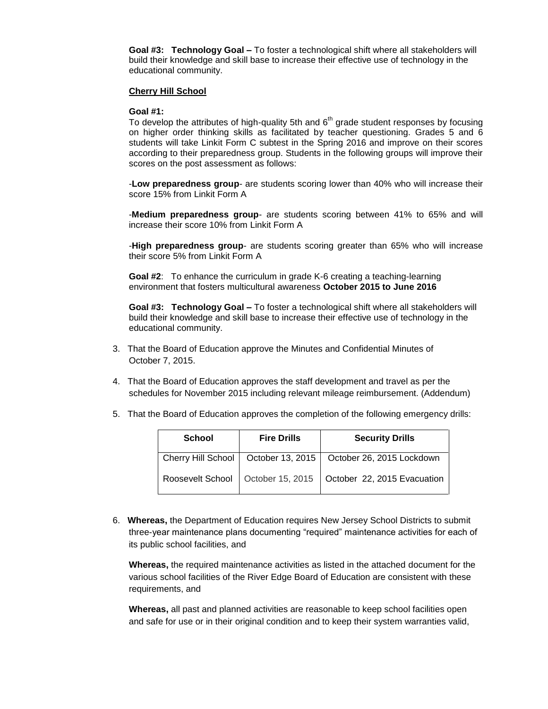**Goal #3: Technology Goal –** To foster a technological shift where all stakeholders will build their knowledge and skill base to increase their effective use of technology in the educational community.

#### **Cherry Hill School**

#### **Goal #1:**

To develop the attributes of high-quality 5th and  $6<sup>th</sup>$  grade student responses by focusing on higher order thinking skills as facilitated by teacher questioning. Grades 5 and 6 students will take Linkit Form C subtest in the Spring 2016 and improve on their scores according to their preparedness group. Students in the following groups will improve their scores on the post assessment as follows:

-**Low preparedness group**- are students scoring lower than 40% who will increase their score 15% from Linkit Form A

-**Medium preparedness group**- are students scoring between 41% to 65% and will increase their score 10% from Linkit Form A

-**High preparedness group**- are students scoring greater than 65% who will increase their score 5% from Linkit Form A

**Goal #2**: To enhance the curriculum in grade K-6 creating a teaching-learning environment that fosters multicultural awareness **October 2015 to June 2016**

**Goal #3: Technology Goal –** To foster a technological shift where all stakeholders will build their knowledge and skill base to increase their effective use of technology in the educational community.

- 3. That the Board of Education approve the Minutes and Confidential Minutes of October 7, 2015.
- 4. That the Board of Education approves the staff development and travel as per the schedules for November 2015 including relevant mileage reimbursement. (Addendum)
- 5. That the Board of Education approves the completion of the following emergency drills:

| <b>School</b> | <b>Fire Drills</b> | <b>Security Drills</b>                                            |
|---------------|--------------------|-------------------------------------------------------------------|
|               |                    | Cherry Hill School   October 13, 2015   October 26, 2015 Lockdown |
|               |                    | Roosevelt School   October 15, 2015   October 22, 2015 Evacuation |

6. **Whereas,** the Department of Education requires New Jersey School Districts to submit three-year maintenance plans documenting "required" maintenance activities for each of its public school facilities, and

**Whereas,** the required maintenance activities as listed in the attached document for the various school facilities of the River Edge Board of Education are consistent with these requirements, and

**Whereas,** all past and planned activities are reasonable to keep school facilities open and safe for use or in their original condition and to keep their system warranties valid,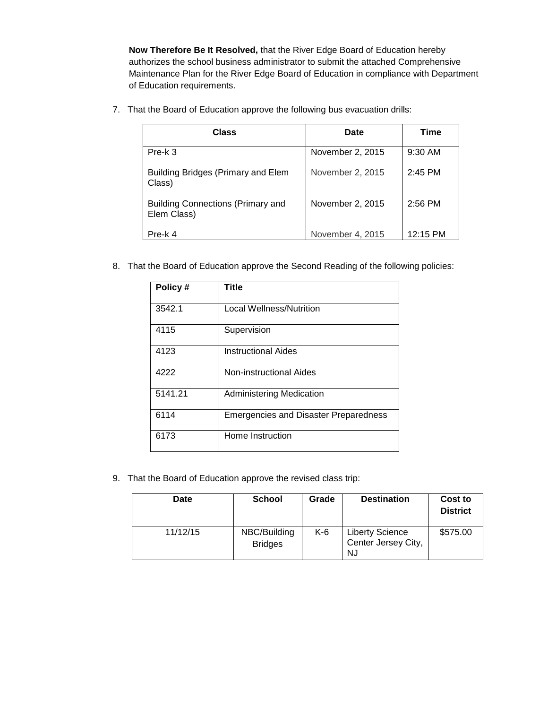**Now Therefore Be It Resolved,** that the River Edge Board of Education hereby authorizes the school business administrator to submit the attached Comprehensive Maintenance Plan for the River Edge Board of Education in compliance with Department of Education requirements.

7. That the Board of Education approve the following bus evacuation drills:

| <b>Class</b>                                            | <b>Date</b>      | Time      |
|---------------------------------------------------------|------------------|-----------|
| Pre-k 3                                                 | November 2, 2015 | $9:30$ AM |
| Building Bridges (Primary and Elem<br>Class)            | November 2, 2015 | $2:45$ PM |
| <b>Building Connections (Primary and</b><br>Elem Class) | November 2, 2015 | $2:56$ PM |
| Pre-k 4                                                 | November 4, 2015 | 12:15 PM  |

8. That the Board of Education approve the Second Reading of the following policies:

| Policy# | Title                                        |
|---------|----------------------------------------------|
| 3542.1  | <b>Local Wellness/Nutrition</b>              |
| 4115    | Supervision                                  |
| 4123    | <b>Instructional Aides</b>                   |
| 4222    | Non-instructional Aides                      |
| 5141.21 | <b>Administering Medication</b>              |
| 6114    | <b>Emergencies and Disaster Preparedness</b> |
| 6173    | Home Instruction                             |

9. That the Board of Education approve the revised class trip:

| Date     | <b>School</b>                  | Grade | <b>Destination</b>                                  | Cost to<br><b>District</b> |
|----------|--------------------------------|-------|-----------------------------------------------------|----------------------------|
| 11/12/15 | NBC/Building<br><b>Bridges</b> | K-6   | <b>Liberty Science</b><br>Center Jersey City,<br>NJ | \$575.00                   |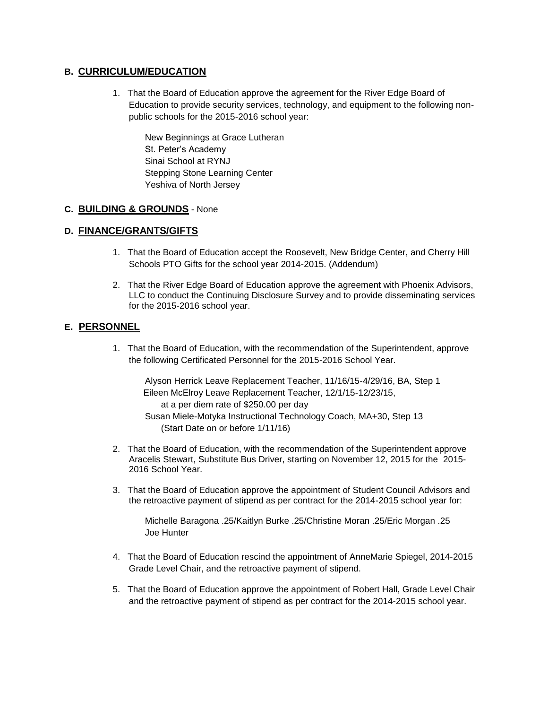## **B. CURRICULUM/EDUCATION**

1. That the Board of Education approve the agreement for the River Edge Board of Education to provide security services, technology, and equipment to the following nonpublic schools for the 2015-2016 school year:

New Beginnings at Grace Lutheran St. Peter's Academy Sinai School at RYNJ Stepping Stone Learning Center Yeshiva of North Jersey

## **C. BUILDING & GROUNDS** - None

## **D. FINANCE/GRANTS/GIFTS**

- 1. That the Board of Education accept the Roosevelt, New Bridge Center, and Cherry Hill Schools PTO Gifts for the school year 2014-2015. (Addendum)
- 2. That the River Edge Board of Education approve the agreement with Phoenix Advisors, LLC to conduct the Continuing Disclosure Survey and to provide disseminating services for the 2015-2016 school year.

## **E. PERSONNEL**

1. That the Board of Education, with the recommendation of the Superintendent, approve the following Certificated Personnel for the 2015-2016 School Year.

Alyson Herrick Leave Replacement Teacher, 11/16/15-4/29/16, BA, Step 1 Eileen McElroy Leave Replacement Teacher, 12/1/15-12/23/15, at a per diem rate of \$250.00 per day Susan Miele-Motyka Instructional Technology Coach, MA+30, Step 13 (Start Date on or before 1/11/16)

- 2. That the Board of Education, with the recommendation of the Superintendent approve Aracelis Stewart, Substitute Bus Driver, starting on November 12, 2015 for the 2015- 2016 School Year.
- 3. That the Board of Education approve the appointment of Student Council Advisors and the retroactive payment of stipend as per contract for the 2014-2015 school year for:

Michelle Baragona .25/Kaitlyn Burke .25/Christine Moran .25/Eric Morgan .25 Joe Hunter

- 4. That the Board of Education rescind the appointment of AnneMarie Spiegel, 2014-2015 Grade Level Chair, and the retroactive payment of stipend.
- 5. That the Board of Education approve the appointment of Robert Hall, Grade Level Chair and the retroactive payment of stipend as per contract for the 2014-2015 school year.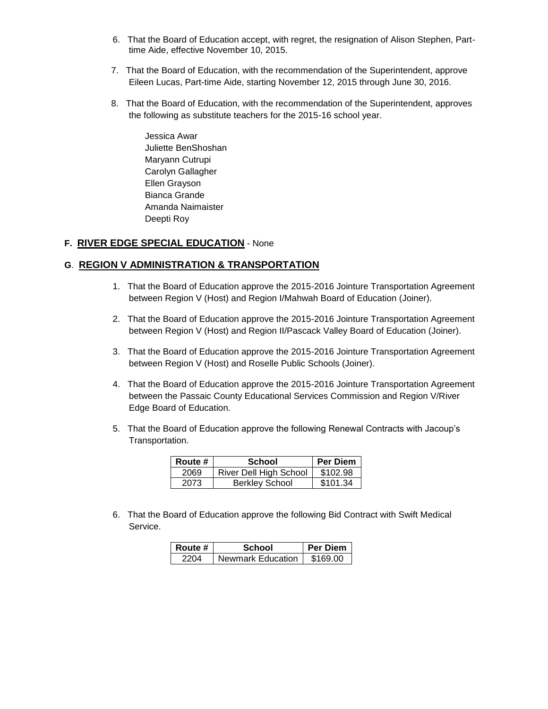- 6. That the Board of Education accept, with regret, the resignation of Alison Stephen, Parttime Aide, effective November 10, 2015.
- 7. That the Board of Education, with the recommendation of the Superintendent, approve Eileen Lucas, Part-time Aide, starting November 12, 2015 through June 30, 2016.
- 8. That the Board of Education, with the recommendation of the Superintendent, approves the following as substitute teachers for the 2015-16 school year.

Jessica Awar Juliette BenShoshan Maryann Cutrupi Carolyn Gallagher Ellen Grayson Bianca Grande Amanda Naimaister Deepti Roy

## **F. RIVER EDGE SPECIAL EDUCATION** - None

## **G**. **REGION V ADMINISTRATION & TRANSPORTATION**

- 1. That the Board of Education approve the 2015-2016 Jointure Transportation Agreement between Region V (Host) and Region I/Mahwah Board of Education (Joiner).
- 2. That the Board of Education approve the 2015-2016 Jointure Transportation Agreement between Region V (Host) and Region II/Pascack Valley Board of Education (Joiner).
- 3. That the Board of Education approve the 2015-2016 Jointure Transportation Agreement between Region V (Host) and Roselle Public Schools (Joiner).
- 4. That the Board of Education approve the 2015-2016 Jointure Transportation Agreement between the Passaic County Educational Services Commission and Region V/River Edge Board of Education.
- 5. That the Board of Education approve the following Renewal Contracts with Jacoup's Transportation.

| Route # | <b>School</b>          | <b>Per Diem</b> |
|---------|------------------------|-----------------|
| 2069    | River Dell High School | \$102.98        |
| 2073    | <b>Berkley School</b>  | \$101.34        |

6. That the Board of Education approve the following Bid Contract with Swift Medical Service.

| Route # | School            | <b>Per Diem</b> |
|---------|-------------------|-----------------|
| 2204    | Newmark Education | \$169.00        |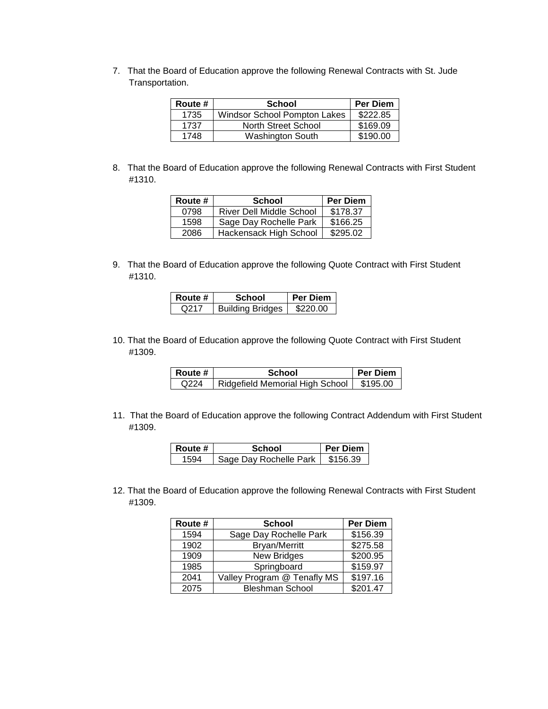7. That the Board of Education approve the following Renewal Contracts with St. Jude Transportation.

| Route # | School                       | <b>Per Diem</b> |
|---------|------------------------------|-----------------|
| 1735    | Windsor School Pompton Lakes | \$222.85        |
| 1737    | North Street School          | \$169.09        |
| 1748    | <b>Washington South</b>      | \$190.00        |

8. That the Board of Education approve the following Renewal Contracts with First Student #1310.

| Route # | <b>School</b>                   | <b>Per Diem</b> |
|---------|---------------------------------|-----------------|
| 0798    | <b>River Dell Middle School</b> | \$178.37        |
| 1598    | Sage Day Rochelle Park          | \$166.25        |
| 2086    | Hackensack High School          | \$295.02        |

9. That the Board of Education approve the following Quote Contract with First Student #1310.

| Route # | School                  | <b>Per Diem</b> |
|---------|-------------------------|-----------------|
| Q217    | <b>Building Bridges</b> | \$220.00        |

10. That the Board of Education approve the following Quote Contract with First Student #1309.

| Route # | School                          | <b>Per Diem</b> |
|---------|---------------------------------|-----------------|
| Q224    | Ridgefield Memorial High School | \$195.00        |

11. That the Board of Education approve the following Contract Addendum with First Student #1309.

| Route # | School                 | <b>Per Diem</b> |
|---------|------------------------|-----------------|
|         | Sage Day Rochelle Park | \$156.39        |

12. That the Board of Education approve the following Renewal Contracts with First Student #1309.

| Route # | <b>School</b>               | <b>Per Diem</b> |
|---------|-----------------------------|-----------------|
| 1594    | Sage Day Rochelle Park      | \$156.39        |
| 1902    | <b>Bryan/Merritt</b>        | \$275.58        |
| 1909    | <b>New Bridges</b>          | \$200.95        |
| 1985    | Springboard                 | \$159.97        |
| 2041    | Valley Program @ Tenafly MS | \$197.16        |
| 2075    | <b>Bleshman School</b>      | \$201.47        |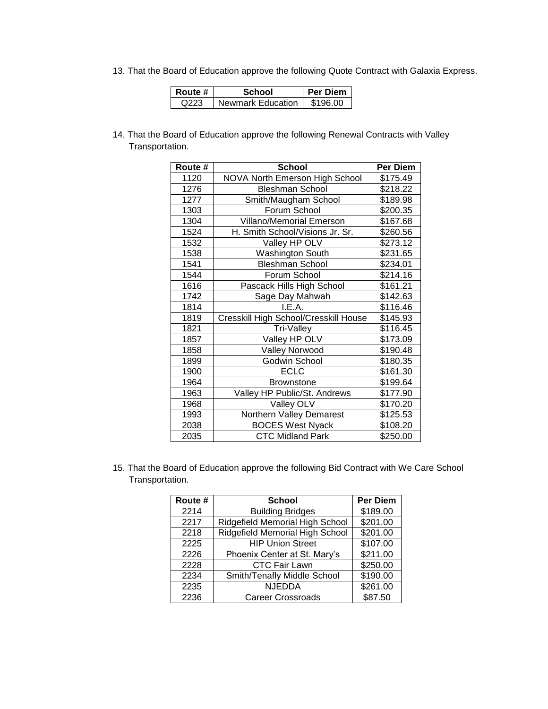13. That the Board of Education approve the following Quote Contract with Galaxia Express.

| Route # | School                     | l Per Diem |
|---------|----------------------------|------------|
| Q223    | <b>Newmark Education I</b> | \$196.00   |

14. That the Board of Education approve the following Renewal Contracts with Valley Transportation.

| Route # | <b>School</b>                         | <b>Per Diem</b> |
|---------|---------------------------------------|-----------------|
| 1120    | NOVA North Emerson High School        | \$175.49        |
| 1276    | <b>Bleshman School</b>                | \$218.22        |
| 1277    | Smith/Maugham School                  | \$189.98        |
| 1303    | Forum School                          | \$200.35        |
| 1304    | <b>Villano/Memorial Emerson</b>       | \$167.68        |
| 1524    | H. Smith School/Visions Jr. Sr.       | \$260.56        |
| 1532    | Valley HP OLV                         | \$273.12        |
| 1538    | Washington South                      | \$231.65        |
| 1541    | <b>Bleshman School</b>                | \$234.01        |
| 1544    | Forum School                          | \$214.16        |
| 1616    | Pascack Hills High School             | \$161.21        |
| 1742    | Sage Day Mahwah                       | \$142.63        |
| 1814    | I.E.A.                                | \$116.46        |
| 1819    | Cresskill High School/Cresskill House | \$145.93        |
| 1821    | Tri-Valley                            | \$116.45        |
| 1857    | Valley HP OLV                         | \$173.09        |
| 1858    | Valley Norwood                        | \$190.48        |
| 1899    | Godwin School                         | \$180.35        |
| 1900    | <b>ECLC</b>                           | \$161.30        |
| 1964    | <b>Brownstone</b>                     | \$199.64        |
| 1963    | Valley HP Public/St. Andrews          | \$177.90        |
| 1968    | Valley OLV                            | \$170.20        |
| 1993    | Northern Valley Demarest              | \$125.53        |
| 2038    | <b>BOCES West Nyack</b>               | \$108.20        |
| 2035    | <b>CTC Midland Park</b>               | \$250.00        |

15. That the Board of Education approve the following Bid Contract with We Care School Transportation.

| Route # | <b>School</b>                   | <b>Per Diem</b> |
|---------|---------------------------------|-----------------|
| 2214    | <b>Building Bridges</b>         | \$189.00        |
| 2217    | Ridgefield Memorial High School | \$201.00        |
| 2218    | Ridgefield Memorial High School | \$201.00        |
| 2225    | <b>HIP Union Street</b>         | \$107.00        |
| 2226    | Phoenix Center at St. Mary's    | \$211.00        |
| 2228    | <b>CTC Fair Lawn</b>            | \$250.00        |
| 2234    | Smith/Tenafly Middle School     | \$190.00        |
| 2235    | <b>NJEDDA</b>                   | \$261.00        |
| 2236    | <b>Career Crossroads</b>        | \$87.50         |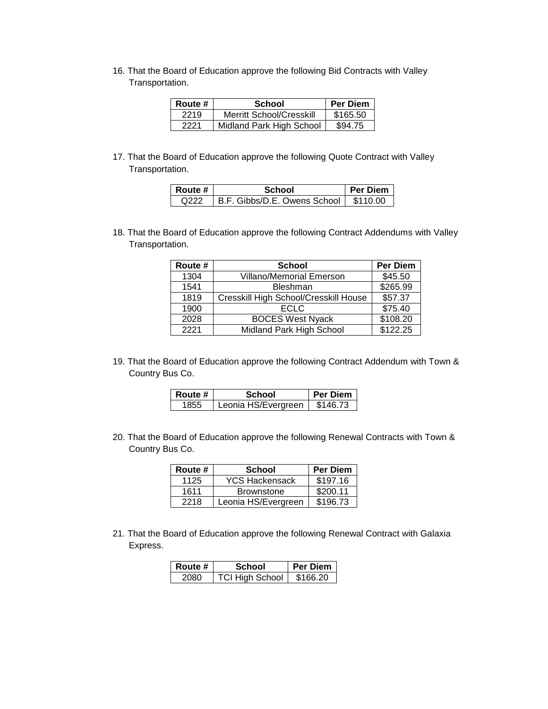16. That the Board of Education approve the following Bid Contracts with Valley Transportation.

| Route # | <b>School</b>                   | <b>Per Diem</b> |
|---------|---------------------------------|-----------------|
| 2219    | <b>Merritt School/Cresskill</b> | \$165.50        |
| 2221    | Midland Park High School        | \$94.75         |

17. That the Board of Education approve the following Quote Contract with Valley Transportation.

| Route # | School                                  | <b>Per Diem</b> |
|---------|-----------------------------------------|-----------------|
| O222    | B.F. Gibbs/D.E. Owens School   \$110.00 |                 |

18. That the Board of Education approve the following Contract Addendums with Valley Transportation.

| Route # | <b>School</b>                         | <b>Per Diem</b> |
|---------|---------------------------------------|-----------------|
| 1304    | <b>Villano/Memorial Emerson</b>       | \$45.50         |
| 1541    | <b>Bleshman</b>                       | \$265.99        |
| 1819    | Cresskill High School/Cresskill House | \$57.37         |
| 1900    | <b>ECLC</b>                           | \$75.40         |
| 2028    | <b>BOCES West Nyack</b>               | \$108.20        |
| 2221    | Midland Park High School              | \$122.25        |

19. That the Board of Education approve the following Contract Addendum with Town & Country Bus Co.

| Route # | School              | <b>Per Diem</b> |
|---------|---------------------|-----------------|
| 1855    | Leonia HS/Evergreen | \$146.73        |

20. That the Board of Education approve the following Renewal Contracts with Town & Country Bus Co.

| Route # | <b>School</b>         | <b>Per Diem</b> |
|---------|-----------------------|-----------------|
| 1125    | <b>YCS Hackensack</b> | \$197.16        |
| 1611    | <b>Brownstone</b>     | \$200.11        |
| 2218    | Leonia HS/Evergreen   | \$196.73        |

21. That the Board of Education approve the following Renewal Contract with Galaxia Express.

| Route # | School                 | <b>Per Diem</b> |
|---------|------------------------|-----------------|
| 2080.   | <b>TCI High School</b> | \$166.20        |